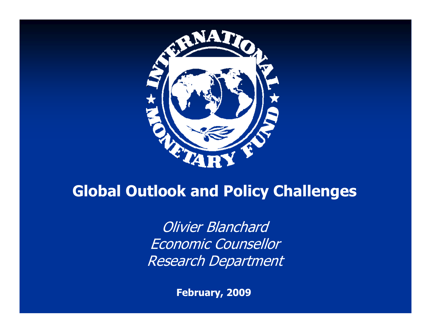

# **Global Outlook and Policy Challenges**

Olivier Blanchard Economic Counsellor Research Department

**February, 2009**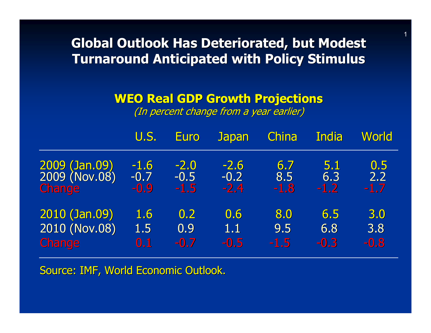**Global Outlook Has Deteriorated, but Modest Turnaround Anticipated with Policy Stimulus Turnaround Anticipated with Policy Stimulus**

#### **WEO Real GDP Growth Projections WEO Real GDP Growth Projections**

(In percent change from a year earlier)

|               | U.S.           | <b>Euro</b> | <b>Japan</b> | China  | India  | <b>World</b> |
|---------------|----------------|-------------|--------------|--------|--------|--------------|
| 2009 (Jan.09) | $-1.6$         | $-2.0$      | $-2.6$       | 6.7    | 5.1    | 0.5          |
| 2009 (Nov.08) | $-0.7$         | $-0.5$      | $-0.2$       | 8.5    | 6.3    | 2.2          |
| <b>Change</b> | $-0.9$         | $-1.5$      | $-2.4$       | $-1.8$ | $-1.2$ | $-1.7$       |
| 2010 (Jan.09) | 1.6            | 0.2         | 0.6          | 8.0    | 6.5    | 3.0          |
| 2010 (Nov.08) | 1.5            | 0.9         | 1.1          | 9.5    | 6.8    | 3.8          |
| <b>Change</b> | $\mathbf{0.1}$ | $-0.7$      | $-0.5$       | $-1.5$ | $-0.3$ | $-0.8$       |

Source: IMF, World Economic Outlook.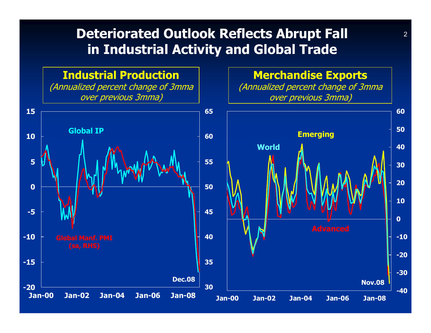#### **Deteriorated Outlook Reflects Abrupt Fall in Industrial Activity and Global Trade**

**Industrial Production**

(Annualized percent change of 3mma over previous 3mma)

**Merchandise Exports**

(Annualized percent change of 3mma over previous 3mma)

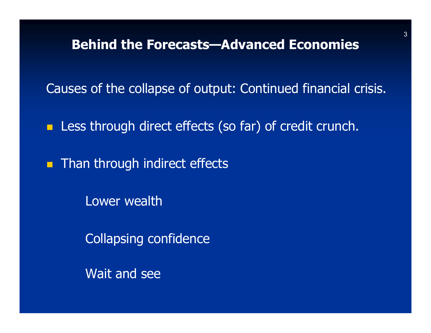**Behind the Forecasts—Advanced Economies**

Causes of the collapse of output: Continued financial crisis.

**Less through direct effects (so far) of credit crunch.** 

**Than through indirect effects** 

Lower wealth

Collapsing confidence

Wait and see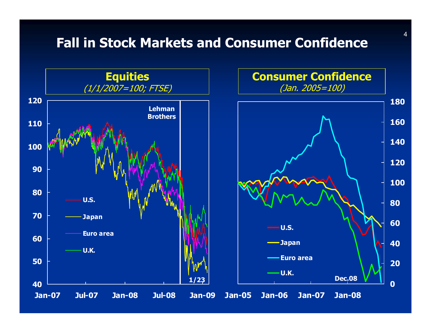#### **Fall in Stock Markets and Consumer Confidence**



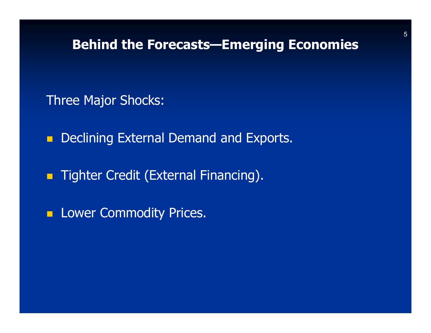#### **Behind the Forecasts—Emerging Economies**

Three Major Shocks:

 $\blacksquare$ Declining External Demand and Exports.

 $\blacksquare$ Tighter Credit (External Financing).

**Lower Commodity Prices.**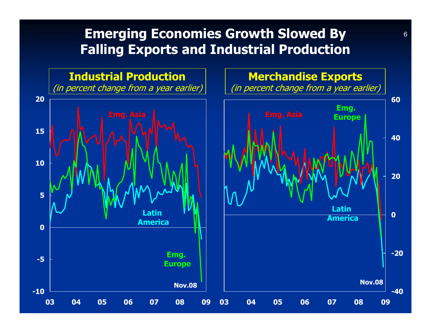#### **Emerging Economies Growth Slowed By Falling Exports and Industrial Production**

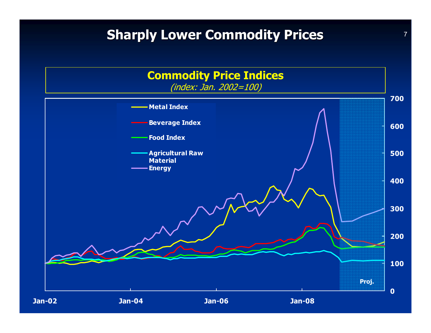#### **Sharply Lower Commodity Prices**

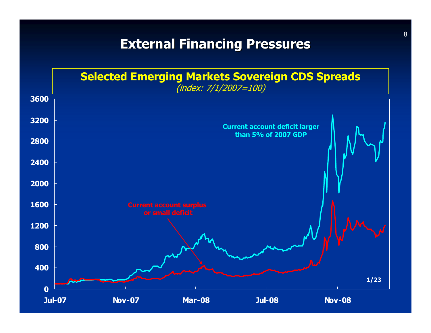#### **External Financing Pressures External Financing Pressures**

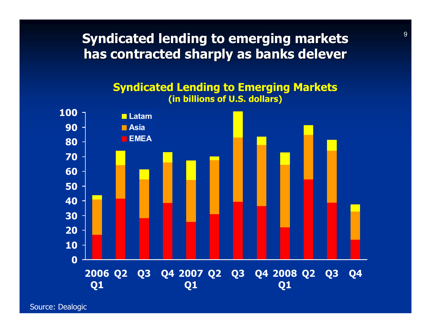**Syndicated lending to emerging markets has contracted sharply as banks delever** 

#### **Syndicated Lending to Emerging Markets (in billions of U.S. dollars)**



Source: Dealogic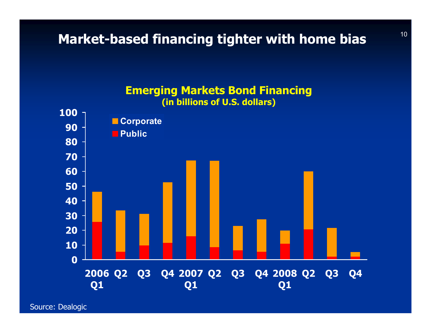#### **Market-based financing tighter with home bias**



Source: Dealogic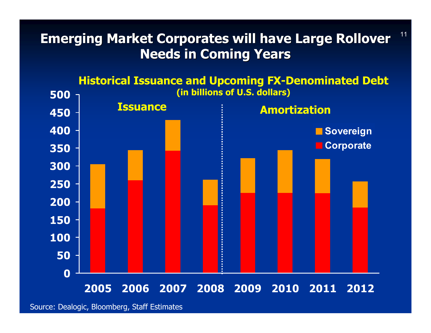#### **Emerging Market Corporates will have Large Rollover Needs in Coming Years Needs in Coming Years**

11



Source: Dealogic, Bloomberg, Staff Estimates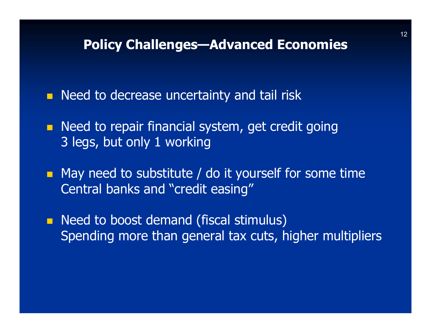#### **Policy Challenges—Advanced Economies**

**Need to decrease uncertainty and tail risk** 

- **Need to repair financial system, get credit going** 3 legs, but only 1 working
- **n** May need to substitute / do it yourself for some time Central banks and "credit easing"
- **Need to boost demand (fiscal stimulus)** Spending more than general tax cuts, higher multipliers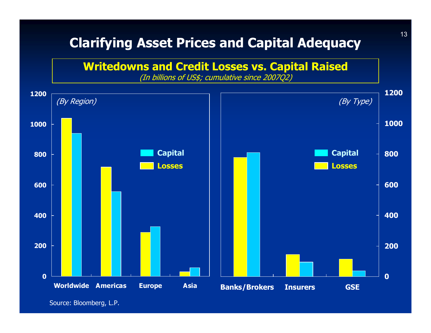#### **Clarifying Asset Prices and Capital Adequacy**



Source: Bloomberg, L.P.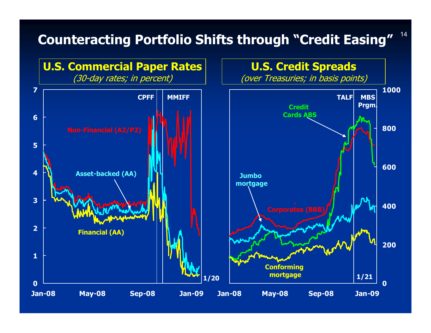#### **Counteracting Portfolio Shifts through "Credit Easing"**



14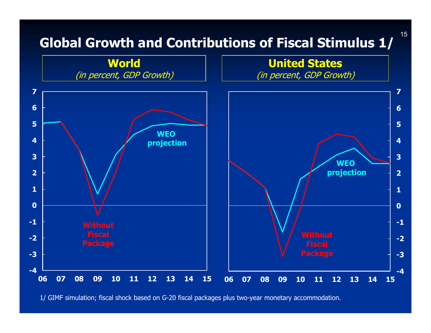## **Global Growth and Contributions of Fiscal Stimulus 1/**

15



<sup>1/</sup> GIMF simulation; fiscal shock based on G-20 fiscal packages plus two-year monetary accommodation.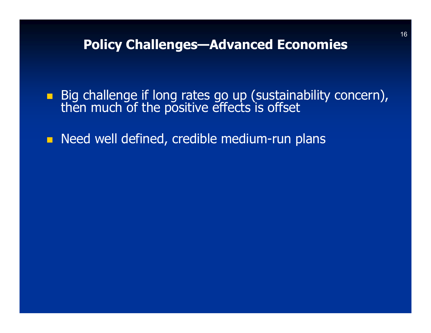#### **Policy Challenges—Advanced Economies**

- Big challenge if long rates go up (sustainability concern), then much of the positive effects is offset
- **Need well defined, credible medium-run plans**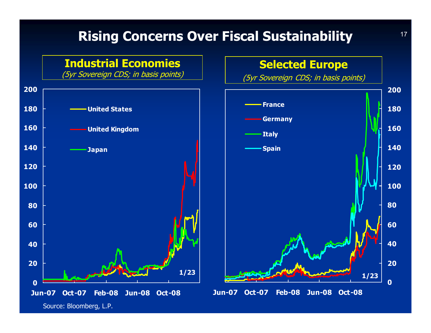## **Rising Concerns Over Fiscal Sustainability**



Source: Bloomberg, L.P.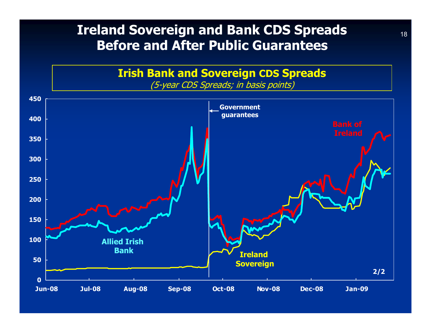#### **Ireland Sovereign and Bank CDS Spreads Before and After Public Guarantees**

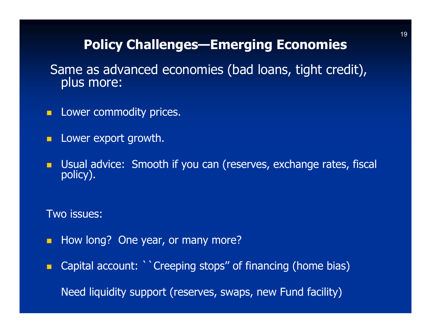## **Policy Challenges—Emerging Economies**

Same as advanced economies (bad loans, tight credit),<br>plus more:

- **D** C Lower commodity prices.
- **Lower export growth.**
- $\blacksquare$ Usual advice: Smooth if you can (reserves, exchange rates, fiscal policy).

Two issues:

 $\blacksquare$ How long? One year, or many more?

 $\blacksquare$  Capital account: ``Creeping stops'' of financing (home bias) Need liquidity support (reserves, swaps, new Fund facility)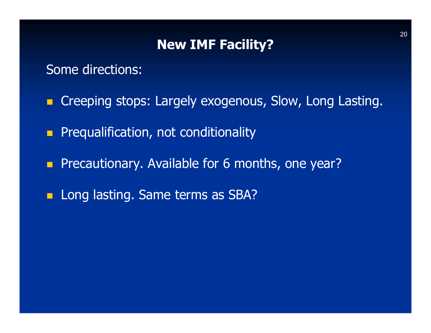### **New IMF Facility?**

#### Some directions:

- **E** Creeping stops: Largely exogenous, Slow, Long Lasting.
- $\blacksquare$ Prequalification, not conditionality
- $\blacksquare$ Precautionary. Available for 6 months, one year?
- **Long lasting. Same terms as SBA?**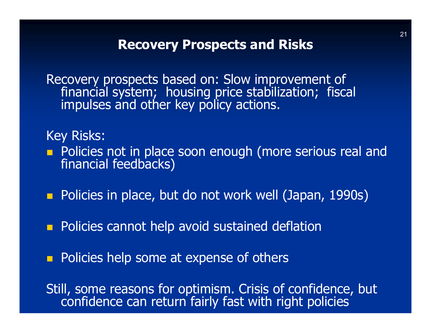#### **Recovery Prospects and Risks**

Recovery prospects based on: Slow improvement of<br>financial system; housing price stabilization; fiscal<br>impulses and other key policy actions.

#### Key Risks:

- **Policies not in place soon enough (more serious real and financial feedbacks)**
- **Policies in place, but do not work well (Japan, 1990s)**
- $\blacksquare$ Policies cannot help avoid sustained deflation
- $\blacksquare$ Policies help some at expense of others

Still, some reasons for optimism. Crisis of confidence, but confidence can return fairly fast with right policies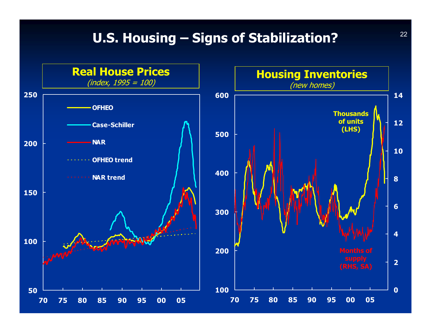#### **U.S. Housing – Signs of Stabilization?**